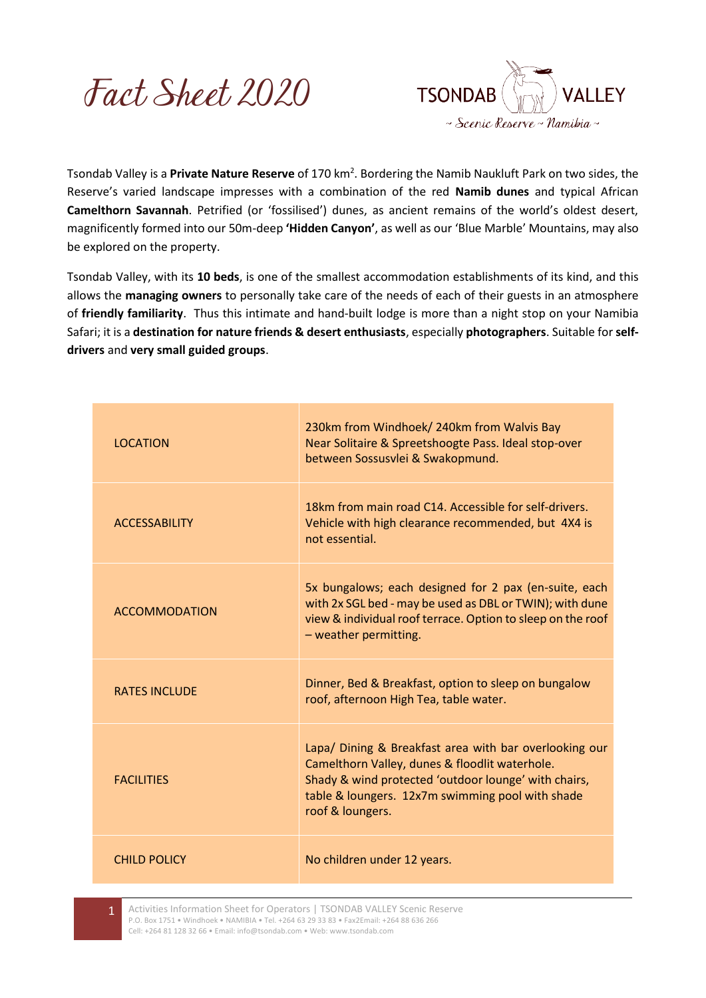



Tsondab Valley is a Private Nature Reserve of 170 km<sup>2</sup>. Bordering the Namib Naukluft Park on two sides, the Reserve's varied landscape impresses with a combination of the red **Namib dunes** and typical African **Camelthorn Savannah**. Petrified (or 'fossilised') dunes, as ancient remains of the world's oldest desert, magnificently formed into our 50m-deep **'Hidden Canyon'**, as well as our 'Blue Marble' Mountains, may also be explored on the property.

Tsondab Valley, with its **10 beds**, is one of the smallest accommodation establishments of its kind, and this allows the **managing owners** to personally take care of the needs of each of their guests in an atmosphere of **friendly familiarity**. Thus this intimate and hand-built lodge is more than a night stop on your Namibia Safari; it is a **destination for nature friends & desert enthusiasts**, especially **photographers**. Suitable for **selfdrivers** and **very small guided groups**.

| <b>LOCATION</b>      | 230km from Windhoek/ 240km from Walvis Bay<br>Near Solitaire & Spreetshoogte Pass. Ideal stop-over<br>between Sossusvlei & Swakopmund.                                                                                                   |
|----------------------|------------------------------------------------------------------------------------------------------------------------------------------------------------------------------------------------------------------------------------------|
| <b>ACCESSABILITY</b> | 18km from main road C14. Accessible for self-drivers.<br>Vehicle with high clearance recommended, but 4X4 is<br>not essential.                                                                                                           |
| <b>ACCOMMODATION</b> | 5x bungalows; each designed for 2 pax (en-suite, each<br>with 2x SGL bed - may be used as DBL or TWIN); with dune<br>view & individual roof terrace. Option to sleep on the roof<br>- weather permitting.                                |
| <b>RATES INCLUDE</b> | Dinner, Bed & Breakfast, option to sleep on bungalow<br>roof, afternoon High Tea, table water.                                                                                                                                           |
| <b>FACILITIES</b>    | Lapa/ Dining & Breakfast area with bar overlooking our<br>Camelthorn Valley, dunes & floodlit waterhole.<br>Shady & wind protected 'outdoor lounge' with chairs,<br>table & loungers. 12x7m swimming pool with shade<br>roof & loungers. |
| <b>CHILD POLICY</b>  | No children under 12 years.                                                                                                                                                                                                              |

1 Activities Information Sheet for Operators | TSONDAB VALLEY Scenic Reserve P.O. Box 1751 • Windhoek • NAMIBIA • Tel. +264 63 29 33 83 • Fax2Email: +264 88 636 266 Cell: +264 81 128 32 66 • Email: info@tsondab.com • Web: www.tsondab.com